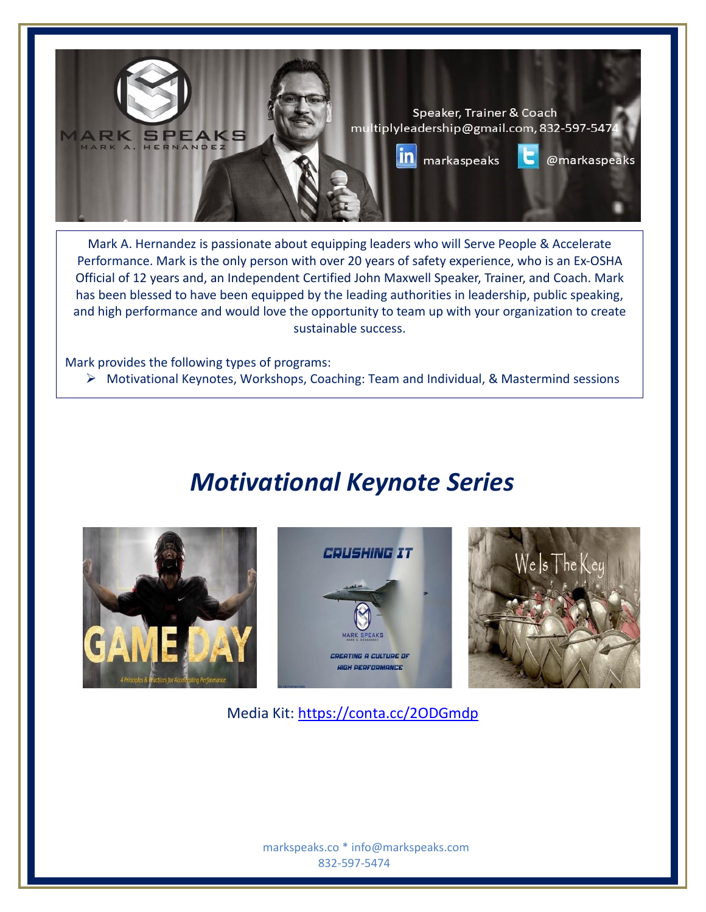

 Official of 12 years and, an Independent Certified John Maxwell Speaker, Trainer, and Coach. Mark and high performance and would love the opportunity to team up with your organization to create Mark A. Hernandez is passionate about equipping leaders who will Serve People & Accelerate Performance. Mark is the only person with over 20 years of safety experience, who is an Ex-OSHA has been blessed to have been equipped by the leading authorities in leadership, public speaking, sustainable success.

Mark provides the following types of programs:

➢ Motivational Keynotes, Workshops, Coaching: Team and Individual, & Mastermind sessions

## *Motivational Keynote Series*







Media Kit:<https://conta.cc/2ODGmdp>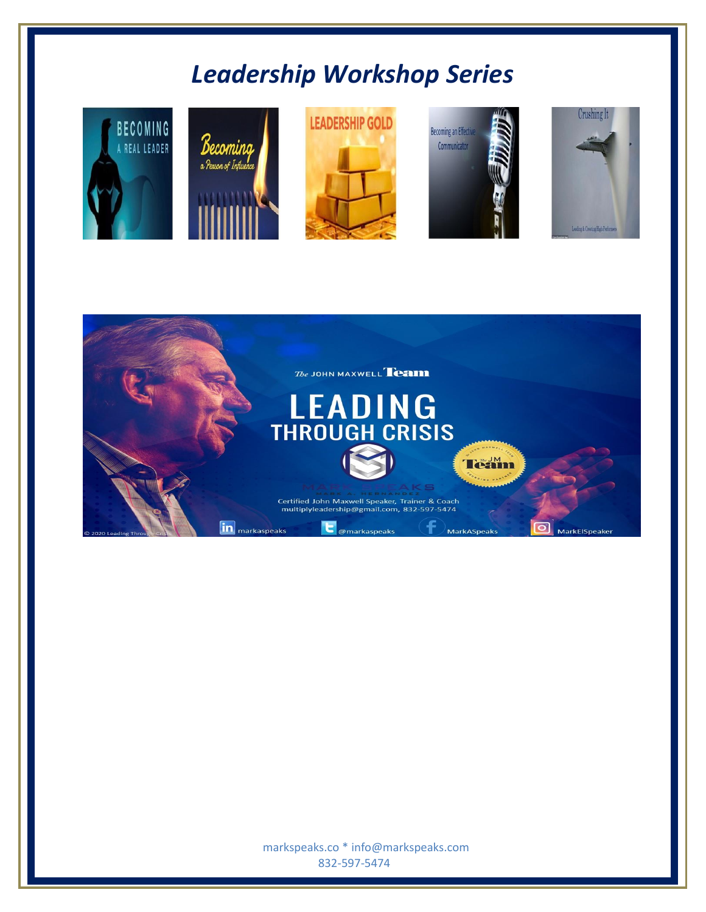# *Leadership Workshop Series*





 markspeaks.co \* info@markspeaks.com 832-597-5474